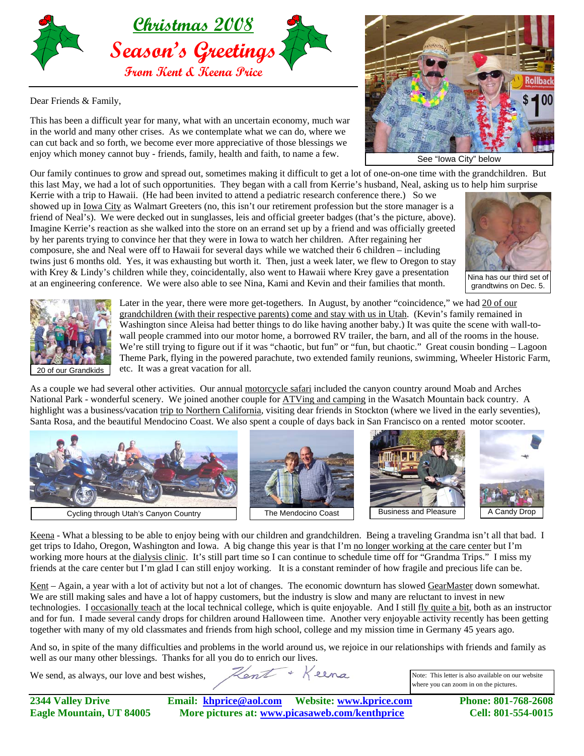

Dear Friends & Family,

This has been a difficult year for many, what with an uncertain economy, much war in the world and many other crises. As we contemplate what we can do, where we can cut back and so forth, we become ever more appreciative of those blessings we enjoy which money cannot buy - friends, family, health and faith, to name a few.



Our family continues to grow and spread out, sometimes making it difficult to get a lot of one-on-one time with the grandchildren. But this last May, we had a lot of such opportunities. They began with a call from Kerrie's husband, Neal, asking us to help him surprise

Kerrie with a trip to Hawaii. (He had been invited to attend a pediatric research conference there.) So we showed up in Iowa City as Walmart Greeters (no, this isn't our retirement profession but the store manager is a friend of Neal's). We were decked out in sunglasses, leis and official greeter badges (that's the picture, above). Imagine Kerrie's reaction as she walked into the store on an errand set up by a friend and was officially greeted by her parents trying to convince her that they were in Iowa to watch her children. After regaining her composure, she and Neal were off to Hawaii for several days while we watched their 6 children – including twins just 6 months old. Yes, it was exhausting but worth it. Then, just a week later, we flew to Oregon to stay with Krey & Lindy's children while they, coincidentally, also went to Hawaii where Krey gave a presentation at an engineering conference. We were also able to see Nina, Kami and Kevin and their families that month.



Nina has our third set of grandtwins on Dec. 5.



Later in the year, there were more get-togethers. In August, by another "coincidence," we had 20 of our grandchildren (with their respective parents) come and stay with us in Utah. (Kevin's family remained in Washington since Aleisa had better things to do like having another baby.) It was quite the scene with wall-towall people crammed into our motor home, a borrowed RV trailer, the barn, and all of the rooms in the house. We're still trying to figure out if it was "chaotic, but fun" or "fun, but chaotic." Great cousin bonding - Lagoon Theme Park, flying in the powered parachute, two extended family reunions, swimming, Wheeler Historic Farm, 20 of our Grandkids  $\left\vert \right\rangle$  etc. It was a great vacation for all.

As a couple we had several other activities. Our annual motorcycle safari included the canyon country around Moab and Arches National Park - wonderful scenery. We joined another couple for ATVing and camping in the Wasatch Mountain back country. A highlight was a business/vacation trip to Northern California, visiting dear friends in Stockton (where we lived in the early seventies), Santa Rosa, and the beautiful Mendocino Coast. We also spent a couple of days back in San Francisco on a rented motor scooter.



Keena - What a blessing to be able to enjoy being with our children and grandchildren. Being a traveling Grandma isn't all that bad. I get trips to Idaho, Oregon, Washington and Iowa. A big change this year is that I'm no longer working at the care center but I'm working more hours at the dialysis clinic. It's still part time so I can continue to schedule time off for "Grandma Trips." I miss my friends at the care center but I'm glad I can still enjoy working. It is a constant reminder of how fragile and precious life can be.

Kent – Again, a year with a lot of activity but not a lot of changes. The economic downturn has slowed GearMaster down somewhat. We are still making sales and have a lot of happy customers, but the industry is slow and many are reluctant to invest in new technologies. I occasionally teach at the local technical college, which is quite enjoyable. And I still fly quite a bit, both as an instructor and for fun. I made several candy drops for children around Halloween time. Another very enjoyable activity recently has been getting together with many of my old classmates and friends from high school, college and my mission time in Germany 45 years ago.

And so, in spite of the many difficulties and problems in the world around us, we rejoice in our relationships with friends and family as well as our many other blessings. Thanks for all you do to enrich our lives. Kent + Keena

We send, as always, our love and best wishes,

Note: This letter is also available on our website where you can zoom in on the pictures.

| <b>2344 Valley Drive</b>        |                                                |  | Phone: 801-768-2608 |
|---------------------------------|------------------------------------------------|--|---------------------|
| <b>Eagle Mountain, UT 84005</b> | More pictures at: www.picasaweb.com/kenthprice |  | Cell: 801-554-0015  |